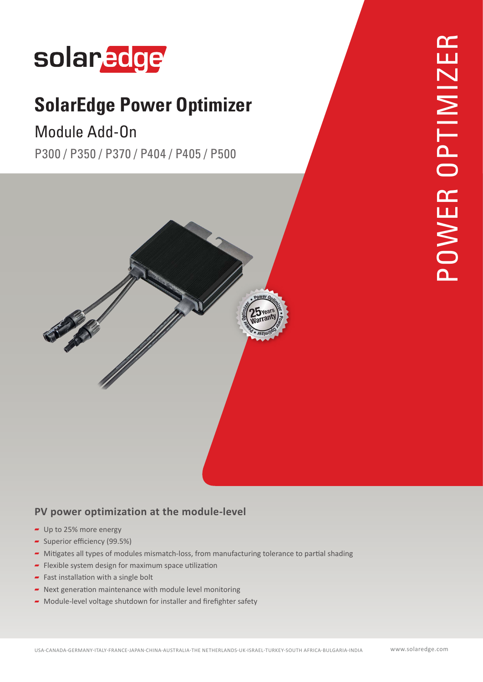# solaredge

# **SolarEdge Power Optimizer**

## Module Add-On

P300 / P350 / P370 / P404 / P405 / P500



### PV power optimization at the module-level

- $\blacksquare$  Up to 25% more energy
- $\sim$  Superior efficiency (99.5%)
- Mitigates all types of modules mismatch-loss, from manufacturing tolerance to partial shading
- Flexible system design for maximum space utilization
- Fast installation with a single bolt
- $\blacksquare$  Next generation maintenance with module level monitoring
- $\blacktriangleright$  Module-level voltage shutdown for installer and firefighter safety